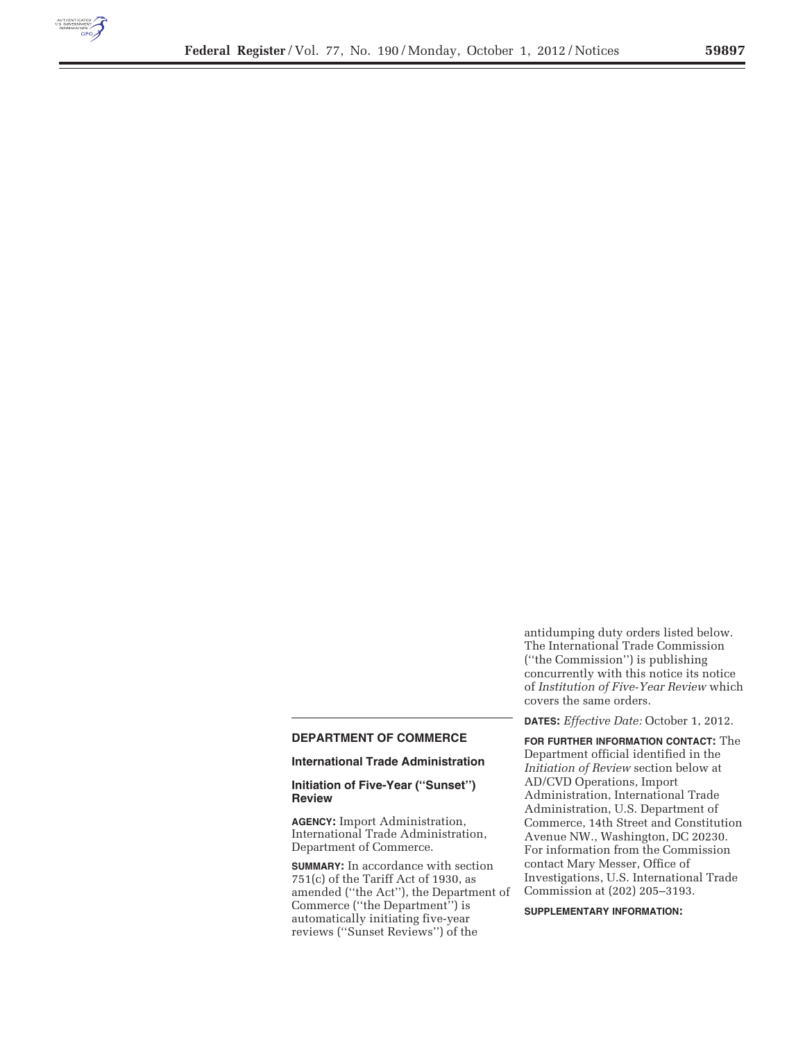

# **DEPARTMENT OF COMMERCE**

## **International Trade Administration**

## **Initiation of Five-Year (''Sunset'') Review**

**AGENCY:** Import Administration, International Trade Administration, Department of Commerce.

**SUMMARY:** In accordance with section 751(c) of the Tariff Act of 1930, as amended (''the Act''), the Department of Commerce (''the Department'') is automatically initiating five-year reviews (''Sunset Reviews'') of the

antidumping duty orders listed below. The International Trade Commission (''the Commission'') is publishing concurrently with this notice its notice of *Institution of Five-Year Review* which covers the same orders.

### **DATES:** *Effective Date:* October 1, 2012.

**FOR FURTHER INFORMATION CONTACT:** The Department official identified in the *Initiation of Review* section below at AD/CVD Operations, Import Administration, International Trade Administration, U.S. Department of Commerce, 14th Street and Constitution Avenue NW., Washington, DC 20230. For information from the Commission contact Mary Messer, Office of Investigations, U.S. International Trade Commission at (202) 205–3193.

# **SUPPLEMENTARY INFORMATION:**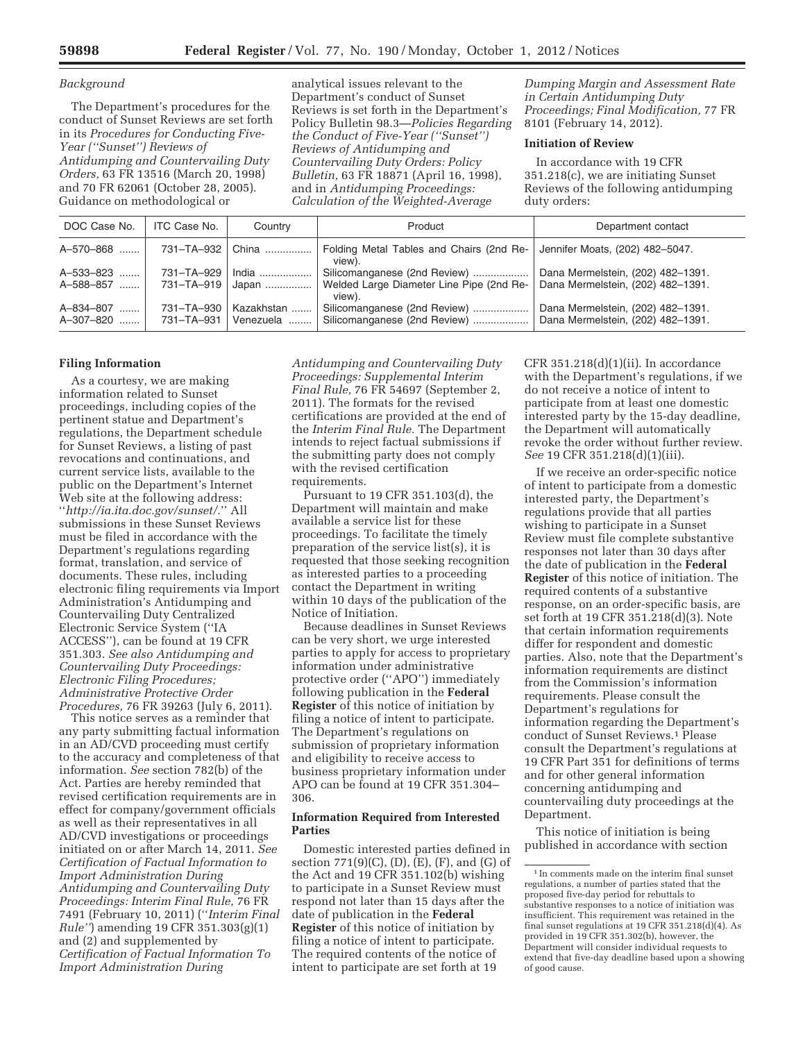### *Background*

The Department's procedures for the conduct of Sunset Reviews are set forth in its *Procedures for Conducting Five-Year (''Sunset'') Reviews of Antidumping and Countervailing Duty Orders,* 63 FR 13516 (March 20, 1998) and 70 FR 62061 (October 28, 2005). Guidance on methodological or

analytical issues relevant to the Department's conduct of Sunset Reviews is set forth in the Department's Policy Bulletin 98.3—*Policies Regarding the Conduct of Five-Year (''Sunset'') Reviews of Antidumping and Countervailing Duty Orders: Policy Bulletin,* 63 FR 18871 (April 16, 1998), and in *Antidumping Proceedings: Calculation of the Weighted-Average* 

*Dumping Margin and Assessment Rate in Certain Antidumping Duty Proceedings; Final Modification,* 77 FR 8101 (February 14, 2012).

## **Initiation of Review**

In accordance with 19 CFR 351.218(c), we are initiating Sunset Reviews of the following antidumping duty orders:

| DOC Case No.           | ITC Case No.               | Country                 | Product                                                      | Department contact                                                     |
|------------------------|----------------------------|-------------------------|--------------------------------------------------------------|------------------------------------------------------------------------|
| A-570-868              |                            | 731-TA-932   China      | Folding Metal Tables and Chairs (2nd Re-<br>view).           | Jennifer Moats, (202) 482-5047.                                        |
| A-533-823              | 731-TA-929                 | ⊟ndia ………………            | Silicomanganese (2nd Review)                                 | Dana Mermelstein, (202) 482-1391.                                      |
| A-588-857              |                            | 731-TA-919   Japan      | Welded Large Diameter Line Pipe (2nd Re-<br>view).           | Dana Mermelstein, (202) 482-1391.                                      |
| A-834-807<br>A-307-820 | 731-TA-930<br>731–TA–931 l | Kazakhstan<br>Venezuela | Silicomanganese (2nd Review)<br>Silicomanganese (2nd Review) | Dana Mermelstein, (202) 482-1391.<br>Dana Mermelstein, (202) 482-1391. |

#### **Filing Information**

As a courtesy, we are making information related to Sunset proceedings, including copies of the pertinent statue and Department's regulations, the Department schedule for Sunset Reviews, a listing of past revocations and continuations, and current service lists, available to the public on the Department's Internet Web site at the following address:

''*http://ia.ita.doc.gov/sunset/.*'' All submissions in these Sunset Reviews must be filed in accordance with the Department's regulations regarding format, translation, and service of documents. These rules, including electronic filing requirements via Import Administration's Antidumping and Countervailing Duty Centralized Electronic Service System (''IA ACCESS''), can be found at 19 CFR 351.303. *See also Antidumping and Countervailing Duty Proceedings: Electronic Filing Procedures; Administrative Protective Order Procedures,* 76 FR 39263 (July 6, 2011).

This notice serves as a reminder that any party submitting factual information in an AD/CVD proceeding must certify to the accuracy and completeness of that information. *See* section 782(b) of the Act. Parties are hereby reminded that revised certification requirements are in effect for company/government officials as well as their representatives in all AD/CVD investigations or proceedings initiated on or after March 14, 2011. *See Certification of Factual Information to Import Administration During Antidumping and Countervailing Duty Proceedings: Interim Final Rule,* 76 FR 7491 (February 10, 2011) (''*Interim Final Rule''*) amending 19 CFR 351.303(g)(1) and (2) and supplemented by *Certification of Factual Information To Import Administration During* 

*Antidumping and Countervailing Duty Proceedings: Supplemental Interim Final Rule,* 76 FR 54697 (September 2, 2011). The formats for the revised certifications are provided at the end of the *Interim Final Rule.* The Department intends to reject factual submissions if the submitting party does not comply with the revised certification requirements.

Pursuant to 19 CFR 351.103(d), the Department will maintain and make available a service list for these proceedings. To facilitate the timely preparation of the service list(s), it is requested that those seeking recognition as interested parties to a proceeding contact the Department in writing within 10 days of the publication of the Notice of Initiation.

Because deadlines in Sunset Reviews can be very short, we urge interested parties to apply for access to proprietary information under administrative protective order (''APO'') immediately following publication in the **Federal Register** of this notice of initiation by filing a notice of intent to participate. The Department's regulations on submission of proprietary information and eligibility to receive access to business proprietary information under APO can be found at 19 CFR 351.304– 306.

## **Information Required from Interested Parties**

Domestic interested parties defined in section 771(9)(C), (D), (E), (F), and (G) of the Act and 19 CFR 351.102(b) wishing to participate in a Sunset Review must respond not later than 15 days after the date of publication in the **Federal Register** of this notice of initiation by filing a notice of intent to participate. The required contents of the notice of intent to participate are set forth at 19

CFR  $351.218(d)(1)(ii)$ . In accordance with the Department's regulations, if we do not receive a notice of intent to participate from at least one domestic interested party by the 15-day deadline, the Department will automatically revoke the order without further review. *See* 19 CFR 351.218(d)(1)(iii).

If we receive an order-specific notice of intent to participate from a domestic interested party, the Department's regulations provide that all parties wishing to participate in a Sunset Review must file complete substantive responses not later than 30 days after the date of publication in the **Federal Register** of this notice of initiation. The required contents of a substantive response, on an order-specific basis, are set forth at 19 CFR 351.218(d)(3). Note that certain information requirements differ for respondent and domestic parties. Also, note that the Department's information requirements are distinct from the Commission's information requirements. Please consult the Department's regulations for information regarding the Department's conduct of Sunset Reviews.1 Please consult the Department's regulations at 19 CFR Part 351 for definitions of terms and for other general information concerning antidumping and countervailing duty proceedings at the Department.

This notice of initiation is being published in accordance with section

<sup>1</sup> In comments made on the interim final sunset regulations, a number of parties stated that the proposed five-day period for rebuttals to substantive responses to a notice of initiation was insufficient. This requirement was retained in the final sunset regulations at 19 CFR 351.218(d)(4). As provided in 19 CFR 351.302(b), however, the Department will consider individual requests to extend that five-day deadline based upon a showing of good cause.